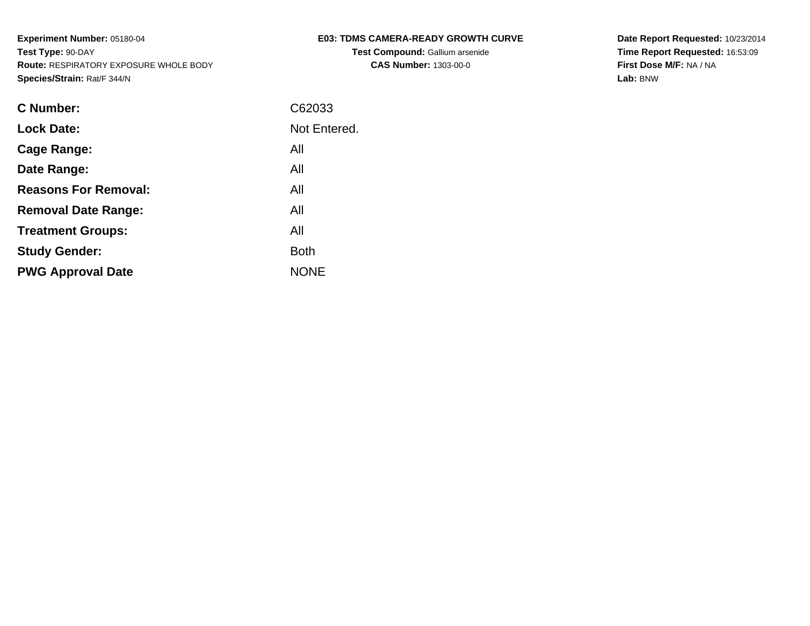| <b>E03: TDMS CAMERA-READY GROWTH CURVE</b> |  |
|--------------------------------------------|--|
|--------------------------------------------|--|

**Test Compound:** Gallium arsenide**CAS Number:** 1303-00-0

**Date Report Requested:** 10/23/2014 **Time Report Requested:** 16:53:09**First Dose M/F:** NA / NA**Lab:** BNW

| C Number:                   | C62033       |
|-----------------------------|--------------|
| <b>Lock Date:</b>           | Not Entered. |
| Cage Range:                 | All          |
| Date Range:                 | All          |
| <b>Reasons For Removal:</b> | All          |
| <b>Removal Date Range:</b>  | All          |
| <b>Treatment Groups:</b>    | All          |
| <b>Study Gender:</b>        | <b>Both</b>  |
| <b>PWG Approval Date</b>    | <b>NONE</b>  |
|                             |              |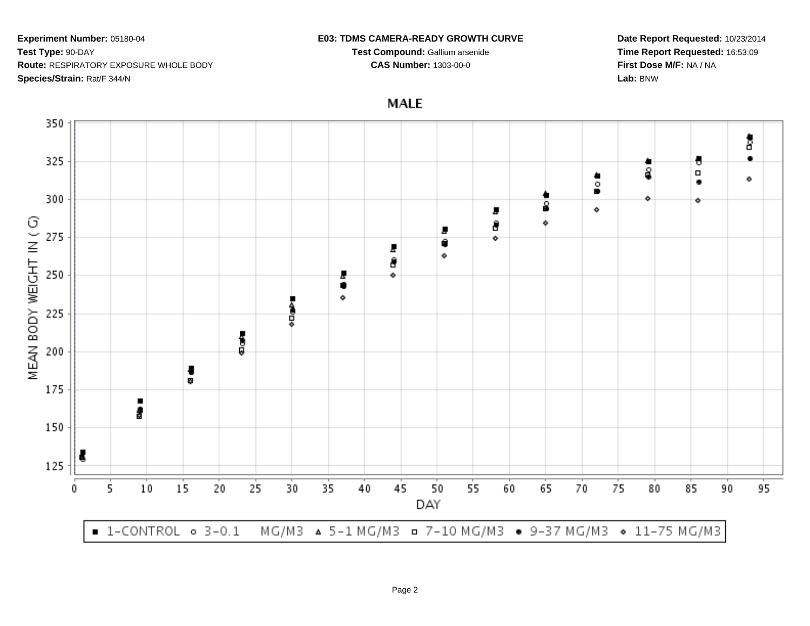### **E03: TDMS CAMERA-READY GROWTH CURVE**

**Test Compound:** Gallium arsenide**CAS Number:** 1303-00-0

**Date Report Requested:** 10/23/2014**Time Report Requested:** 16:53:09**First Dose M/F:** NA / NA**Lab:** BNW

**MALE** 

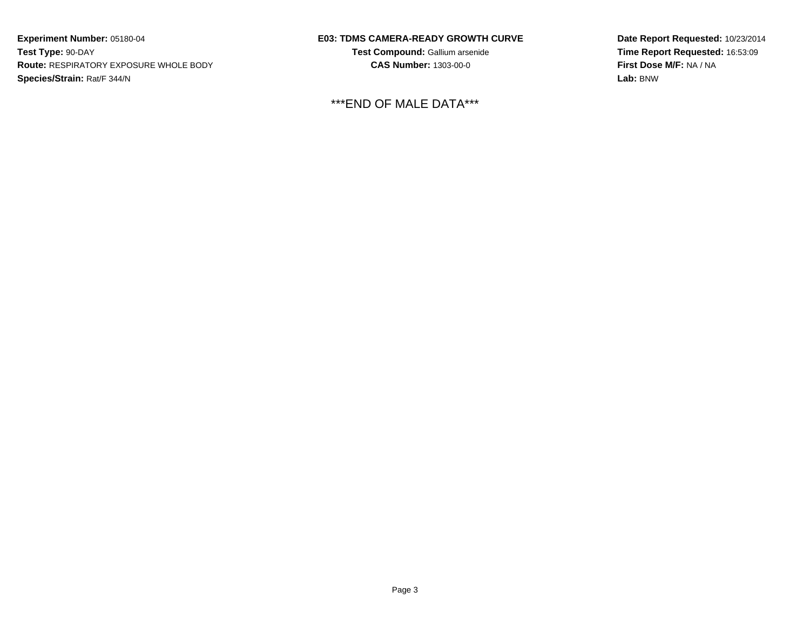## **E03: TDMS CAMERA-READY GROWTH CURVE**

**Test Compound:** Gallium arsenide**CAS Number:** 1303-00-0

\*\*\*END OF MALE DATA\*\*\*

**Date Report Requested:** 10/23/2014**Time Report Requested:** 16:53:09**First Dose M/F:** NA / NA**Lab:** BNW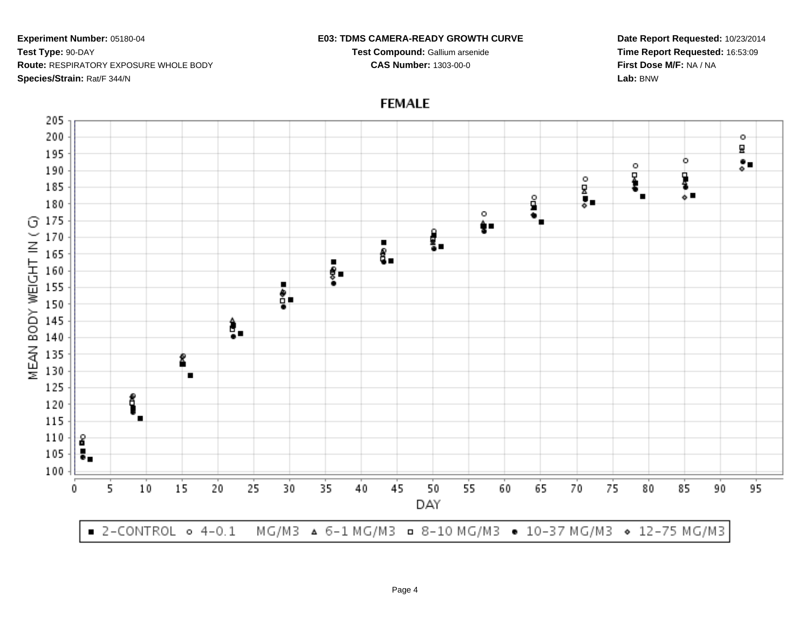#### **E03: TDMS CAMERA-READY GROWTH CURVE**

**Test Compound:** Gallium arsenide**CAS Number:** 1303-00-0

**Date Report Requested:** 10/23/2014**Time Report Requested:** 16:53:09**First Dose M/F:** NA / NA**Lab:** BNW



# **FEMALE**